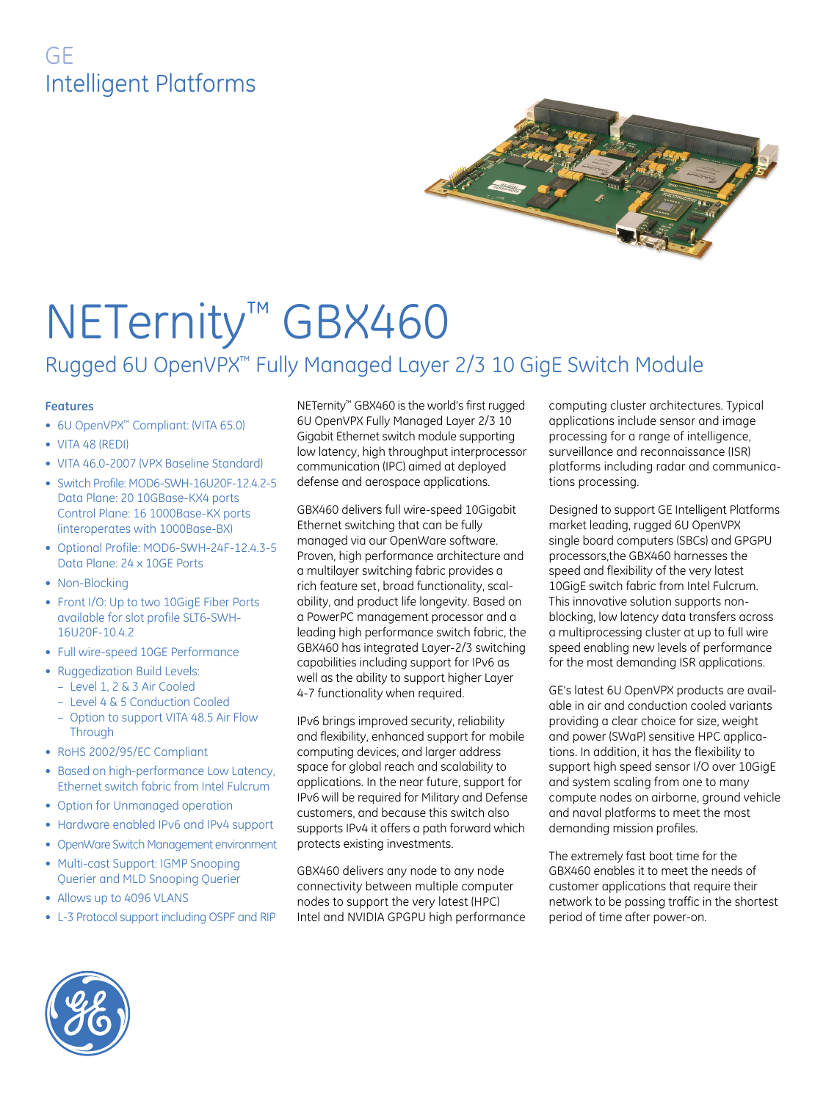# GE Intelligent Platforms



# NETernity<sup>™</sup> GBX460

# Rugged 6U OpenVPX™ Fully Managed Layer 2/3 10 GigE Switch Module

## **Features**

- 6U OpenVPX™ Compliant: (VITA 65.0)
- VITA 48 (REDI)
- VITA 46.0-2007 (VPX Baseline Standard)
- Switch Profile: MOD6-SWH-16U20F-12.4.2-5 Data Plane: 20 10GBase-KX4 ports Control Plane: 16 1000Base-KX ports (interoperates with 1000Base-BX)
- Optional Profile: MOD6-SWH-24F-12.4.3-5 Data Plane: 24 x 10GE Ports
- Non-Blocking
- Front I/O: Up to two 10GigE Fiber Ports available for slot profile SLT6-SWH-16U20F-10.4.2
- Full wire-speed 10GE Performance
- Ruggedization Build Levels:
	- Level 1, 2 & 3 Air Cooled
	- Level 4 & 5 Conduction Cooled
	- Option to support VITA 48.5 Air Flow **Through**
- RoHS 2002/95/EC Compliant
- Based on high-performance Low Latency, Ethernet switch fabric from Intel Fulcrum
- Option for Unmanaged operation
- Hardware enabled IPv6 and IPv4 support
- OpenWare Switch Management environment
- Multi-cast Support: IGMP Snooping Querier and MLD Snooping Querier
- Allows up to 4096 VLANS
- L-3 Protocol support including OSPF and RIP

NETernity™ GBX460 is the world's first rugged 6U OpenVPX Fully Managed Layer 2/3 10 Gigabit Ethernet switch module supporting low latency, high throughput interprocessor communication (IPC) aimed at deployed defense and aerospace applications.

GBX460 delivers full wire-speed 10Gigabit Ethernet switching that can be fully managed via our OpenWare software. Proven, high performance architecture and a multilayer switching fabric provides a rich feature set, broad functionality, scalability, and product life longevity. Based on a PowerPC management processor and a leading high performance switch fabric, the GBX460 has integrated Layer-2/3 switching capabilities including support for IPv6 as well as the ability to support higher Layer 4-7 functionality when required.

IPv6 brings improved security, reliability and flexibility, enhanced support for mobile computing devices, and larger address space for global reach and scalability to applications. In the near future, support for IPv6 will be required for Military and Defense customers, and because this switch also supports IPv4 it offers a path forward which protects existing investments.

GBX460 delivers any node to any node connectivity between multiple computer nodes to support the very latest (HPC) Intel and NVIDIA GPGPU high performance

computing cluster architectures. Typical applications include sensor and image processing for a range of intelligence, surveillance and reconnaissance (ISR) platforms including radar and communications processing.

Designed to support GE Intelligent Platforms market leading, rugged 6U OpenVPX single board computers (SBCs) and GPGPU processors,the GBX460 harnesses the speed and flexibility of the very latest 10GigE switch fabric from Intel Fulcrum. This innovative solution supports nonblocking, low latency data transfers across a multiprocessing cluster at up to full wire speed enabling new levels of performance for the most demanding ISR applications.

GE's latest 6U OpenVPX products are available in air and conduction cooled variants providing a clear choice for size, weight and power (SWaP) sensitive HPC applications. In addition, it has the flexibility to support high speed sensor I/O over 10GigE and system scaling from one to many compute nodes on airborne, ground vehicle and naval platforms to meet the most demanding mission profiles.

The extremely fast boot time for the GBX460 enables it to meet the needs of customer applications that require their network to be passing traffic in the shortest period of time after power-on.

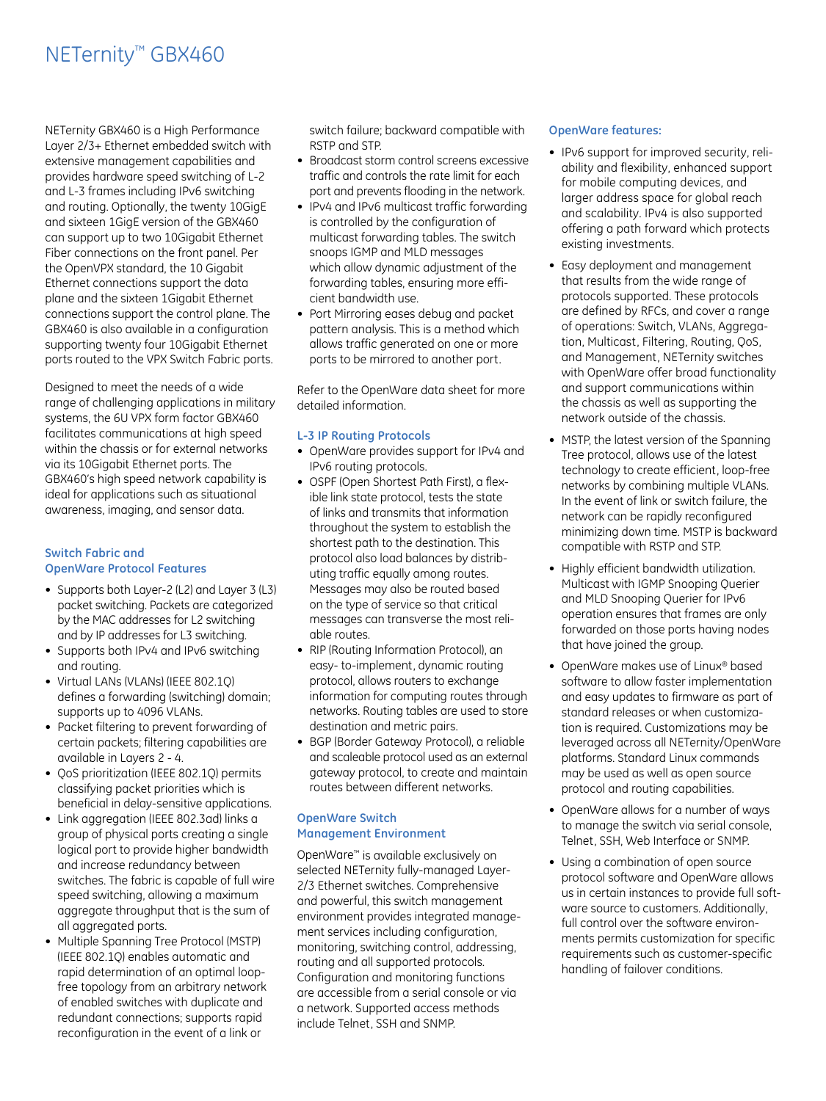# NETernity™ GBX460

NETernity GBX460 is a High Performance Layer 2/3+ Ethernet embedded switch with extensive management capabilities and provides hardware speed switching of L-2 and L-3 frames including IPv6 switching and routing. Optionally, the twenty 10GigE and sixteen 1GigE version of the GBX460 can support up to two 10Gigabit Ethernet Fiber connections on the front panel. Per the OpenVPX standard, the 10 Gigabit Ethernet connections support the data plane and the sixteen 1Gigabit Ethernet connections support the control plane. The GBX460 is also available in a configuration supporting twenty four 10Gigabit Ethernet ports routed to the VPX Switch Fabric ports.

Designed to meet the needs of a wide range of challenging applications in military systems, the 6U VPX form factor GBX460 facilitates communications at high speed within the chassis or for external networks via its 10Gigabit Ethernet ports. The GBX460's high speed network capability is ideal for applications such as situational awareness, imaging, and sensor data.

## **Switch Fabric and OpenWare Protocol Features**

- Supports both Layer-2 (L2) and Layer 3 (L3) packet switching. Packets are categorized by the MAC addresses for L2 switching and by IP addresses for L3 switching.
- Supports both IPv4 and IPv6 switching and routing.
- Virtual LANs (VLANs) (IEEE 802.1Q) defines a forwarding (switching) domain; supports up to 4096 VLANs.
- Packet filtering to prevent forwarding of certain packets; filtering capabilities are available in Layers 2 - 4.
- QoS prioritization (IEEE 802.1Q) permits classifying packet priorities which is beneficial in delay-sensitive applications.
- Link aggregation (IEEE 802.3ad) links a group of physical ports creating a single logical port to provide higher bandwidth and increase redundancy between switches. The fabric is capable of full wire speed switching, allowing a maximum aggregate throughput that is the sum of all aggregated ports.
- Multiple Spanning Tree Protocol (MSTP) (IEEE 802.1Q) enables automatic and rapid determination of an optimal loopfree topology from an arbitrary network of enabled switches with duplicate and redundant connections; supports rapid reconfiguration in the event of a link or

switch failure; backward compatible with RSTP and STP.

- Broadcast storm control screens excessive traffic and controls the rate limit for each port and prevents flooding in the network.
- IPv4 and IPv6 multicast traffic forwarding is controlled by the configuration of multicast forwarding tables. The switch snoops IGMP and MLD messages which allow dynamic adjustment of the forwarding tables, ensuring more efficient bandwidth use.
- Port Mirroring eases debug and packet pattern analysis. This is a method which allows traffic generated on one or more ports to be mirrored to another port.

Refer to the OpenWare data sheet for more detailed information.

## **L-3 IP Routing Protocols**

- OpenWare provides support for IPv4 and IPv6 routing protocols.
- OSPF (Open Shortest Path First), a flexible link state protocol, tests the state of links and transmits that information throughout the system to establish the shortest path to the destination. This protocol also load balances by distributing traffic equally among routes. Messages may also be routed based on the type of service so that critical messages can transverse the most reliable routes.
- RIP (Routing Information Protocol), an easy- to-implement, dynamic routing protocol, allows routers to exchange information for computing routes through networks. Routing tables are used to store destination and metric pairs.
- BGP (Border Gateway Protocol), a reliable and scaleable protocol used as an external gateway protocol, to create and maintain routes between different networks.

# **OpenWare Switch Management Environment**

OpenWare™ is available exclusively on selected NETernity fully-managed Layer-2/3 Ethernet switches. Comprehensive and powerful, this switch management environment provides integrated management services including configuration, monitoring, switching control, addressing, routing and all supported protocols. Configuration and monitoring functions are accessible from a serial console or via a network. Supported access methods include Telnet, SSH and SNMP.

## **OpenWare features:**

- IPv6 support for improved security, reliability and flexibility, enhanced support for mobile computing devices, and larger address space for global reach and scalability. IPv4 is also supported offering a path forward which protects existing investments.
- Easy deployment and management that results from the wide range of protocols supported. These protocols are defined by RFCs, and cover a range of operations: Switch, VLANs, Aggregation, Multicast, Filtering, Routing, QoS, and Management, NETernity switches with OpenWare offer broad functionality and support communications within the chassis as well as supporting the network outside of the chassis.
- MSTP, the latest version of the Spanning Tree protocol, allows use of the latest technology to create efficient, loop-free networks by combining multiple VLANs. In the event of link or switch failure, the network can be rapidly reconfigured minimizing down time. MSTP is backward compatible with RSTP and STP.
- Highly efficient bandwidth utilization. Multicast with IGMP Snooping Querier and MLD Snooping Querier for IPv6 operation ensures that frames are only forwarded on those ports having nodes that have joined the group.
- OpenWare makes use of Linux® based software to allow faster implementation and easy updates to firmware as part of standard releases or when customization is required. Customizations may be leveraged across all NETernity/OpenWare platforms. Standard Linux commands may be used as well as open source protocol and routing capabilities.
- OpenWare allows for a number of ways to manage the switch via serial console, Telnet, SSH, Web Interface or SNMP.
- Using a combination of open source protocol software and OpenWare allows us in certain instances to provide full software source to customers. Additionally, full control over the software environments permits customization for specific requirements such as customer-specific handling of failover conditions.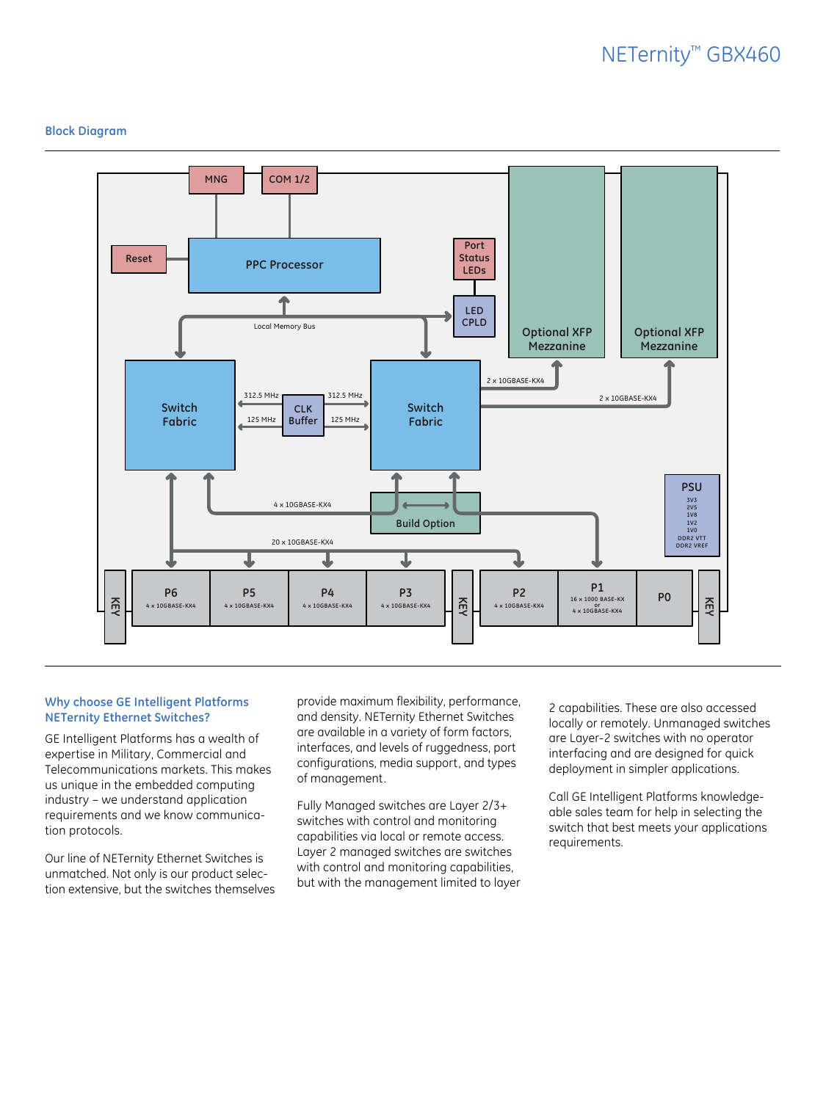## **Block Diagram**



## **Why choose GE Intelligent Platforms NETernity Ethernet Switches?**

GE Intelligent Platforms has a wealth of expertise in Military, Commercial and Telecommunications markets. This makes us unique in the embedded computing industry – we understand application requirements and we know communication protocols.

Our line of NETernity Ethernet Switches is unmatched. Not only is our product selection extensive, but the switches themselves provide maximum flexibility, performance, and density. NETernity Ethernet Switches are available in a variety of form factors, interfaces, and levels of ruggedness, port configurations, media support, and types of management.

Fully Managed switches are Layer 2/3+ switches with control and monitoring capabilities via local or remote access. Layer 2 managed switches are switches with control and monitoring capabilities. but with the management limited to layer 2 capabilities. These are also accessed locally or remotely. Unmanaged switches are Layer-2 switches with no operator interfacing and are designed for quick deployment in simpler applications.

Call GE Intelligent Platforms knowledgeable sales team for help in selecting the switch that best meets your applications requirements.